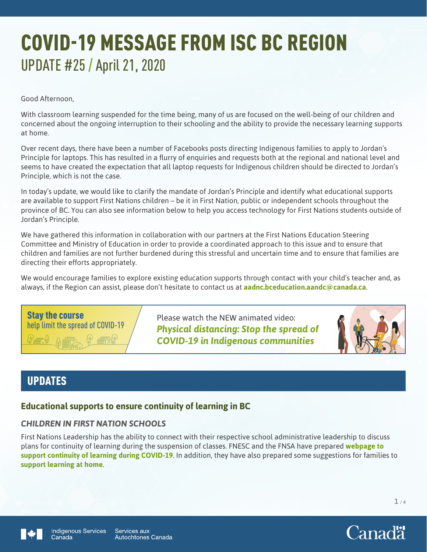# COVID-19 MESSAGE FROM ISC BC REGION UPDATE #25 / April 21, 2020

Good Afternoon,

With classroom learning suspended for the time being, many of us are focused on the well-being of our children and concerned about the ongoing interruption to their schooling and the ability to provide the necessary learning supports at home.

Over recent days, there have been a number of Facebooks posts directing Indigenous families to apply to Jordan's Principle for laptops. This has resulted in a flurry of enquiries and requests both at the regional and national level and seems to have created the expectation that all laptop requests for Indigenous children should be directed to Jordan's Principle, which is not the case.

In today's update, we would like to clarify the mandate of Jordan's Principle and identify what educational supports are available to support First Nations children – be it in First Nation, public or independent schools throughout the province of BC. You can also see information below to help you access technology for First Nations students outside of Jordan's Principle.

We have gathered this information in collaboration with our partners at the First Nations Education Steering Committee and Ministry of Education in order to provide a coordinated approach to this issue and to ensure that children and families are not further burdened during this stressful and uncertain time and to ensure that families are directing their efforts appropriately.

We would encourage families to explore existing education supports through contact with your child's teacher and, as always, if the Region can assist, please don't hesitate to contact us at **[aadnc.bceducation.aandc@canada.ca](mailto:aadnc.bceducation.aandc@canada.ca)**.

Stay the course help limit the spread of COVID-19

Please watch the NEW animated video: *[Physical distancing: Stop the spread of](https://www.youtube.com/watch?v=jefCDf6ccJ4)  COVID-19 in Indigenous communities*



# UPDATES

## **Educational supports to ensure continuity of learning in BC**

## *CHILDREN IN FIRST NATION SCHOOLS*

First Nations Leadership has the ability to connect with their respective school administrative leadership to discuss plans for continuity of learning during the suspension of classes. FNESC and the FNSA have prepared **[webpage to](http://www.fnesc.ca/continuous-learning)  [support continuity of learning during COVID-19](http://www.fnesc.ca/continuous-learning)**. In addition, they have also prepared some suggestions for families to **[support learning at home](http://www.fnesc.ca/covid19/supporting-learning-apr14-2020)**.

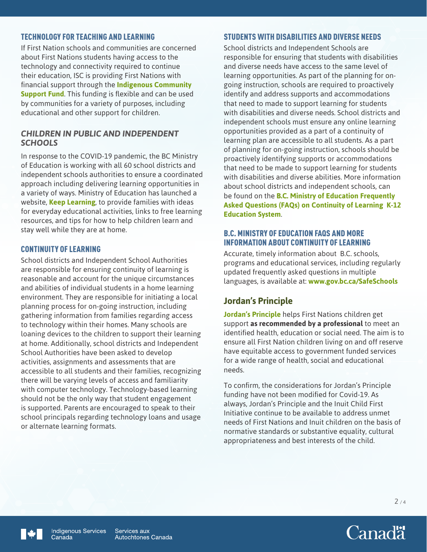#### TECHNOLOGY FOR TEACHING AND LEARNING

If First Nation schools and communities are concerned about First Nations students having access to the technology and connectivity required to continue their education, ISC is providing First Nations with financial support through the **[Indigenous Community](https://www.sac-isc.gc.ca/eng/1585189335380/1585189357198)  [Support Fund](https://www.sac-isc.gc.ca/eng/1585189335380/1585189357198)**. This funding is flexible and can be used by communities for a variety of purposes, including educational and other support for children.

#### *CHILDREN IN PUBLIC AND INDEPENDENT SCHOOLS*

In response to the COVID-19 pandemic, the BC Ministry of Education is working with all 60 school districts and independent schools authorities to ensure a coordinated approach including delivering learning opportunities in a variety of ways. Ministry of Education has launched a website, **[Keep Learning](https://www.openschool.bc.ca/keeplearning/)**, to provide families with ideas for everyday educational activities, links to free learning resources, and tips for how to help children learn and stay well while they are at home.

#### CONTINUITY OF LEARNING

School districts and Independent School Authorities are responsible for ensuring continuity of learning is reasonable and account for the unique circumstances and abilities of individual students in a home learning environment. They are responsible for initiating a local planning process for on-going instruction, including gathering information from families regarding access to technology within their homes. Many schools are loaning devices to the children to support their learning at home. Additionally, school districts and Independent School Authorities have been asked to develop activities, assignments and assessments that are accessible to all students and their families, recognizing there will be varying levels of access and familiarity with computer technology. Technology-based learning should not be the only way that student engagement is supported. Parents are encouraged to speak to their school principals regarding technology loans and usage or alternate learning formats.

## STUDENTS WITH DISABILITIES AND DIVERSE NEEDS

School districts and Independent Schools are responsible for ensuring that students with disabilities and diverse needs have access to the same level of learning opportunities. As part of the planning for ongoing instruction, schools are required to proactively identify and address supports and accommodations that need to made to support learning for students with disabilities and diverse needs. School districts and independent schools must ensure any online learning opportunities provided as a part of a continuity of learning plan are accessible to all students. As a part of planning for on-going instruction, schools should be proactively identifying supports or accommodations that need to be made to support learning for students with disabilities and diverse abilities. More information about school districts and independent schools, can be found on the **[B.C. Ministry of Education Frequently](https://www2.gov.bc.ca/assets/gov/education/administration/kindergarten-to-grade-12/safe-caring-orderly/bc-ministry-of-education-questions-and-answers-continuity-of-learning-k-12-education_system.pdf)  [Asked Questions \(FAQs\) on Continuity of Learning K-12](https://www2.gov.bc.ca/assets/gov/education/administration/kindergarten-to-grade-12/safe-caring-orderly/bc-ministry-of-education-questions-and-answers-continuity-of-learning-k-12-education_system.pdf)  [Education System](https://www2.gov.bc.ca/assets/gov/education/administration/kindergarten-to-grade-12/safe-caring-orderly/bc-ministry-of-education-questions-and-answers-continuity-of-learning-k-12-education_system.pdf)**.

#### B.C. MINISTRY OF EDUCATION FAQS AND MORE INFORMATION ABOUT CONTINUITY OF LEARNING

Accurate, timely information about B.C. schools, programs and educational services, including regularly updated frequently asked questions in multiple languages, is available at: **[www.gov.bc.ca/SafeSchools](http://www.gov.bc.ca/SafeSchools)**

## **Jordan's Principle**

**[Jordan's Principle](https://www.sac-isc.gc.ca/eng/1568396042341/1568396159824)** helps First Nations children get support **as recommended by a professional** to meet an identified health, education or social need. The aim is to ensure all First Nation children living on and off reserve have equitable access to government funded services for a wide range of health, social and educational needs.

To confirm, the considerations for Jordan's Principle funding have not been modified for Covid-19. As always, Jordan's Principle and the Inuit Child First Initiative continue to be available to address unmet needs of First Nations and Inuit children on the basis of normative standards or substantive equality, cultural appropriateness and best interests of the child.



 $2/4$ 

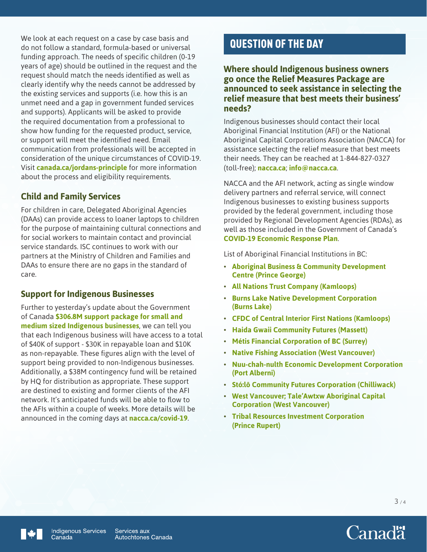We look at each request on a case by case basis and do not follow a standard, formula-based or universal funding approach. The needs of specific children (0-19 years of age) should be outlined in the request and the request should match the needs identified as well as clearly identify why the needs cannot be addressed by the existing services and supports (i.e. how this is an unmet need and a gap in government funded services and supports). Applicants will be asked to provide the required documentation from a professional to show how funding for the requested product, service, or support will meet the identified need. Email communication from professionals will be accepted in consideration of the unique circumstances of COVID-19. Visit **[canada.ca/jordans-principle](https://www.sac-isc.gc.ca/eng/1568396042341/1568396159824)** for more information about the process and eligibility requirements.

## **Child and Family Services**

For children in care, Delegated Aboriginal Agencies (DAAs) can provide access to loaner laptops to children for the purpose of maintaining cultural connections and for social workers to maintain contact and provincial service standards. ISC continues to work with our partners at the Ministry of Children and Families and DAAs to ensure there are no gaps in the standard of care.

## **Support for Indigenous Businesses**

Further to yesterday's update about the Government of Canada **[\\$306.8M support package for small and](https://pm.gc.ca/en/news/news-releases/2020/04/18/prime-minister-announces-support-indigenous-businesses)  [medium sized Indigenous businesses](https://pm.gc.ca/en/news/news-releases/2020/04/18/prime-minister-announces-support-indigenous-businesses)**, we can tell you that each Indigenous business will have access to a total of \$40K of support - \$30K in repayable loan and \$10K as non-repayable. These figures align with the level of support being provided to non-Indigenous businesses. Additionally, a \$38M contingency fund will be retained by HQ for distribution as appropriate. These support are destined to existing and former clients of the AFI network. It's anticipated funds will be able to flow to the AFIs within a couple of weeks. More details will be announced in the coming days at **[nacca.ca/covid-19](https://nacca.ca/covid-19/)**.

# QUESTION OF THE DAY

#### **Where should Indigenous business owners go once the Relief Measures Package are announced to seek assistance in selecting the relief measure that best meets their business' needs?**

Indigenous businesses should contact their local Aboriginal Financial Institution (AFI) or the National Aboriginal Capital Corporations Association (NACCA) for assistance selecting the relief measure that best meets their needs. They can be reached at 1-844-827-0327 (toll-free); **[nacca.ca](http://nacca.ca)**; **[info@nacca.ca](mailto:info@nacca.ca)**.

NACCA and the AFI network, acting as single window delivery partners and referral service, will connect Indigenous businesses to existing business supports provided by the federal government, including those provided by Regional Development Agencies (RDAs), as well as those included in the Government of Canada's **[COVID-19 Economic Response Plan](https://www.canada.ca/en/department-finance/economic-response-plan.html)**.

List of Aboriginal Financial Institutions in BC:

- **[Aboriginal Business & Community Development](https://www.abdc.bc.ca/)  [Centre \(Prince George\)](https://www.abdc.bc.ca/)**
- **[All Nations Trust Company \(Kamloops\)](http://www.antco.ca/)**
- **[Burns Lake Native Development Corporation](https://blndc.ca/) [\(Burns Lake\)](https://blndc.ca/)**
- **[CFDC of Central Interior First Nations \(Kamloops\)](http://cfdcofcifn.com/)**
- **[Haida Gwaii Community Futures \(Massett\)](http://www.haidagwaiifutures.ca/)**
- **[Métis Financial Corporation of BC \(Surrey\)](http://www.mfcbc.ca/)**
- **[Native Fishing Association \(West Vancouver\)](http://www.shoal.ca/)**
- **[Nuu-chah-nulth Economic Development Corporation](https://www.nedc.info/)  [\(Port Alberni\)](https://www.nedc.info/)**
- **[Stó:lō Community Futures Corporation \(Chilliwack\)](https://www.stolocf.ca/)**
- **[West Vancouver; Tale'Awtxw Aboriginal Capital](http://tacc.ca/)  [Corporation \(West Vancouver\)](http://tacc.ca/)**
- **[Tribal Resources Investment Corporation](http://www.tricorp.ca/)  [\(Prince Rupert\)](http://www.tricorp.ca/)**



Services aux **Autochtones Canada**